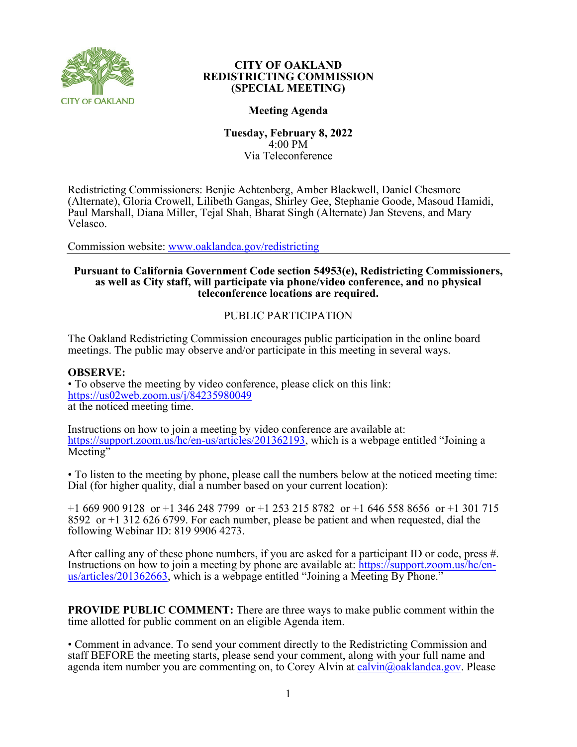

#### **CITY OF OAKLAND REDISTRICTING COMMISSION (SPECIAL MEETING)**

## **Meeting Agenda**

**Tuesday, February 8, 2022** 4:00 PM Via Teleconference

Redistricting Commissioners: Benjie Achtenberg, Amber Blackwell, Daniel Chesmore (Alternate), Gloria Crowell, Lilibeth Gangas, Shirley Gee, Stephanie Goode, Masoud Hamidi, Paul Marshall, Diana Miller, Tejal Shah, Bharat Singh (Alternate) Jan Stevens, and Mary Velasco.

Commission website: [www.oaklandca.gov/redistricting](https://www.oaklandca.gov/boards-commissions/redistricting-commission/meetings)

# **Pursuant to California Government Code section 54953(e), Redistricting Commissioners, as well as City staff, will participate via phone/video conference, and no physical teleconference locations are required.**

## PUBLIC PARTICIPATION

The Oakland Redistricting Commission encourages public participation in the online board meetings. The public may observe and/or participate in this meeting in several ways.

#### **OBSERVE:**

• To observe the meeting by video conference, please click on this link: <https://us02web.zoom.us/j/84235980049> at the noticed meeting time.

Instructions on how to join a meeting by video conference are available at: [https://support.zoom.us/hc/en-us/articles/201362193,](https://support.zoom.us/hc/en-us/articles/201362193) which is a webpage entitled "Joining a Meeting"

• To listen to the meeting by phone, please call the numbers below at the noticed meeting time: Dial (for higher quality, dial a number based on your current location):

+1 669 900 9128 or +1 346 248 7799 or +1 253 215 8782 or +1 646 558 8656 or +1 301 715 8592 or +1 312 626 6799. For each number, please be patient and when requested, dial the following Webinar ID: 819 9906 4273.

After calling any of these phone numbers, if you are asked for a participant ID or code, press #. Instructions on how to join a meeting by phone are available at: [https://support.zoom.us/hc/en](https://support.zoom.us/hc/en-us/articles/201362663)[us/articles/201362663,](https://support.zoom.us/hc/en-us/articles/201362663) which is a webpage entitled "Joining a Meeting By Phone."

**PROVIDE PUBLIC COMMENT:** There are three ways to make public comment within the time allotted for public comment on an eligible Agenda item.

• Comment in advance. To send your comment directly to the Redistricting Commission and staff BEFORE the meeting starts, please send your comment, along with your full name and agenda item number you are commenting on, to Corey Alvin at [calvin@oaklandca.gov.](mailto:calvin@oaklandca.gov) Please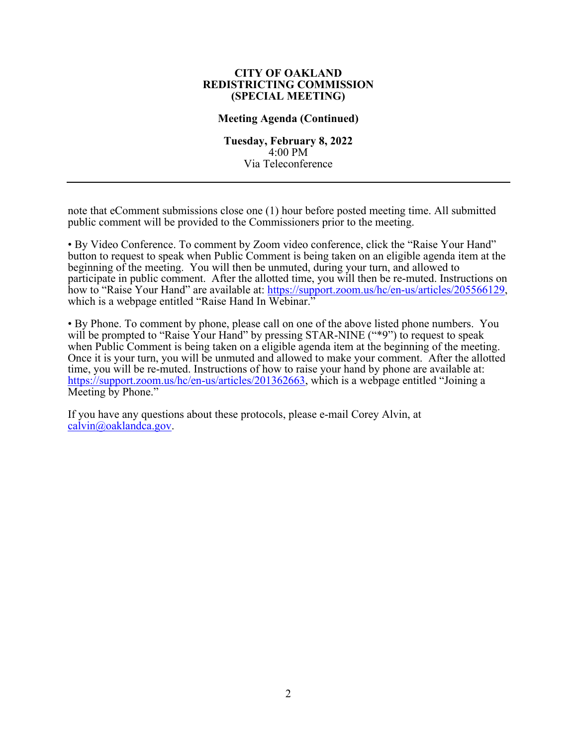#### **CITY OF OAKLAND REDISTRICTING COMMISSION (SPECIAL MEETING)**

#### **Meeting Agenda (Continued)**

**Tuesday, February 8, 2022** 4:00 PM Via Teleconference

note that eComment submissions close one (1) hour before posted meeting time. All submitted public comment will be provided to the Commissioners prior to the meeting.

• By Video Conference. To comment by Zoom video conference, click the "Raise Your Hand" button to request to speak when Public Comment is being taken on an eligible agenda item at the beginning of the meeting. You will then be unmuted, during your turn, and allowed to participate in public comment. After the allotted time, you will then be re-muted. Instructions on how to "Raise Your Hand" are available at: [https://support.zoom.us/hc/en-us/articles/205566129,](https://support.zoom.us/hc/en-us/articles/205566129) which is a webpage entitled "Raise Hand In Webinar."

• By Phone. To comment by phone, please call on one of the above listed phone numbers. You will be prompted to "Raise Your Hand" by pressing STAR-NINE ("\*9") to request to speak when Public Comment is being taken on a eligible agenda item at the beginning of the meeting. Once it is your turn, you will be unmuted and allowed to make your comment. After the allotted time, you will be re-muted. Instructions of how to raise your hand by phone are available at: [https://support.zoom.us/hc/en-us/articles/201362663,](https://support.zoom.us/hc/en-us/articles/201362663) which is a webpage entitled "Joining a Meeting by Phone."

If you have any questions about these protocols, please e-mail Corey Alvin, at [calvin@oaklandca.gov.](mailto:calvin@oaklandca.gov)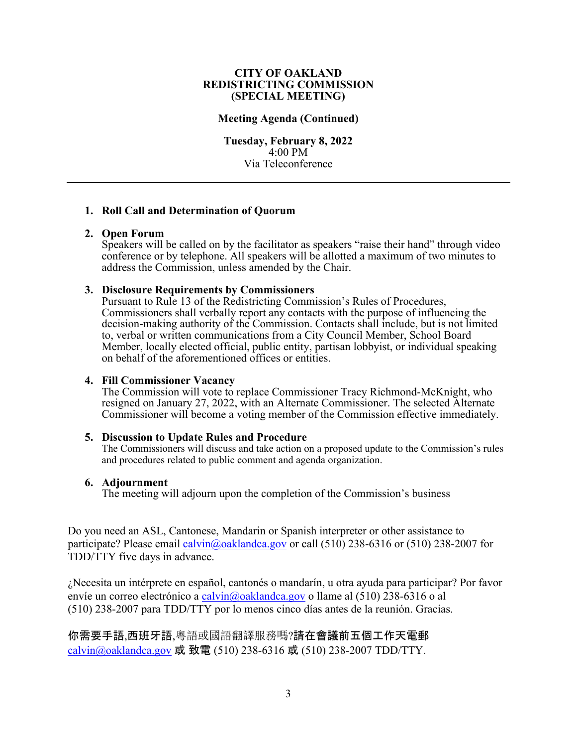#### **CITY OF OAKLAND REDISTRICTING COMMISSION (SPECIAL MEETING)**

#### **Meeting Agenda (Continued)**

**Tuesday, February 8, 2022** 4:00 PM Via Teleconference

## **1. Roll Call and Determination of Quorum**

#### **2. Open Forum**

Speakers will be called on by the facilitator as speakers "raise their hand" through video conference or by telephone. All speakers will be allotted a maximum of two minutes to address the Commission, unless amended by the Chair.

#### **3. Disclosure Requirements by Commissioners**

Pursuant to Rule 13 of the Redistricting Commission's Rules of Procedures, Commissioners shall verbally report any contacts with the purpose of influencing the decision-making authority of the Commission. Contacts shall include, but is not limited to, verbal or written communications from a City Council Member, School Board Member, locally elected official, public entity, partisan lobbyist, or individual speaking on behalf of the aforementioned offices or entities.

## **4. Fill Commissioner Vacancy**

The Commission will vote to replace Commissioner Tracy Richmond-McKnight, who resigned on January 27, 2022, with an Alternate Commissioner. The selected Alternate Commissioner will become a voting member of the Commission effective immediately.

#### **5. Discussion to Update Rules and Procedure**

The Commissioners will discuss and take action on a proposed update to the Commission's rules and procedures related to public comment and agenda organization.

#### **6. Adjournment**

The meeting will adjourn upon the completion of the Commission's business

Do you need an ASL, Cantonese, Mandarin or Spanish interpreter or other assistance to participate? Please email [calvin@oaklandca.gov](mailto:calvin@oaklandca.gov) or call (510) 238-6316 or (510) 238-2007 for TDD/TTY five days in advance.

¿Necesita un intérprete en español, cantonés o mandarín, u otra ayuda para participar? Por favor envíe un correo electrónico a [calvin@oaklandca.gov](mailto:calvin@oaklandca.gov) o llame al (510) 238-6316 o al (510) 238-2007 para TDD/TTY por lo menos cinco días antes de la reunión. Gracias.

你需要手語,西班牙語,粵語或國語翻譯服務嗎?請在會議前五個工作天電郵 [calvin@oaklandca.gov](mailto:calvin@oaklandca.gov) 或 致電 (510) 238-6316 或 (510) 238-2007 TDD/TTY.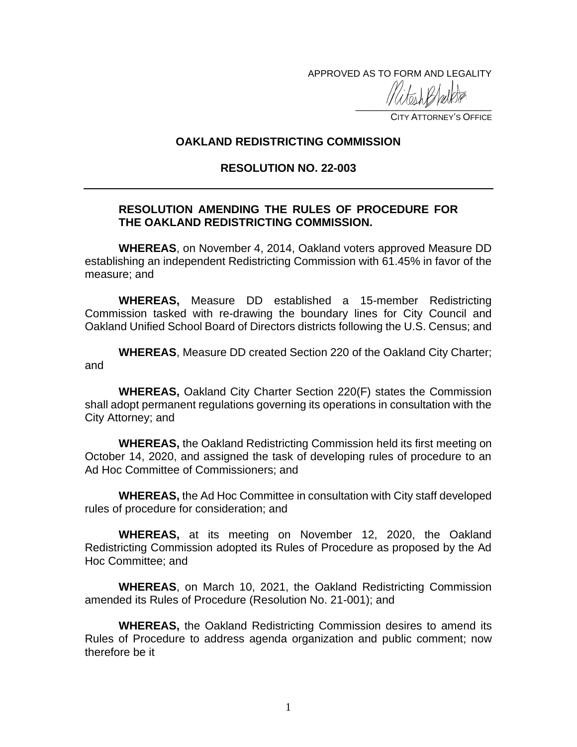APPROVED AS TO FORM AND LEGALITY

 $\frac{1}{2}$ 

CITY ATTORNEY'S OFFICE

## **OAKLAND REDISTRICTING COMMISSION**

## **RESOLUTION NO. 22-003**

# **RESOLUTION AMENDING THE RULES OF PROCEDURE FOR THE OAKLAND REDISTRICTING COMMISSION.**

**WHEREAS**, on November 4, 2014, Oakland voters approved Measure DD establishing an independent Redistricting Commission with 61.45% in favor of the measure; and

**WHEREAS,** Measure DD established a 15-member Redistricting Commission tasked with re-drawing the boundary lines for City Council and Oakland Unified School Board of Directors districts following the U.S. Census; and

**WHEREAS**, Measure DD created Section 220 of the Oakland City Charter; and

**WHEREAS,** Oakland City Charter Section 220(F) states the Commission shall adopt permanent regulations governing its operations in consultation with the City Attorney; and

**WHEREAS,** the Oakland Redistricting Commission held its first meeting on October 14, 2020, and assigned the task of developing rules of procedure to an Ad Hoc Committee of Commissioners; and

**WHEREAS,** the Ad Hoc Committee in consultation with City staff developed rules of procedure for consideration; and

**WHEREAS,** at its meeting on November 12, 2020, the Oakland Redistricting Commission adopted its Rules of Procedure as proposed by the Ad Hoc Committee; and

**WHEREAS**, on March 10, 2021, the Oakland Redistricting Commission amended its Rules of Procedure (Resolution No. 21-001); and

**WHEREAS,** the Oakland Redistricting Commission desires to amend its Rules of Procedure to address agenda organization and public comment; now therefore be it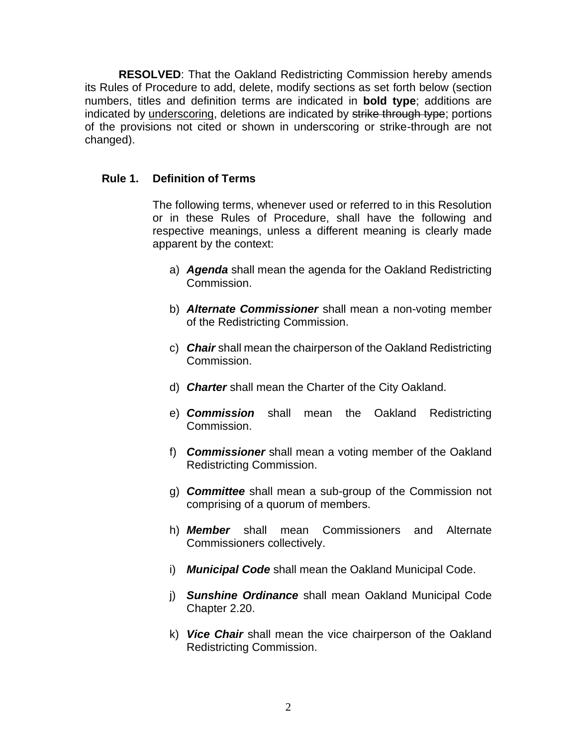**RESOLVED**: That the Oakland Redistricting Commission hereby amends its Rules of Procedure to add, delete, modify sections as set forth below (section numbers, titles and definition terms are indicated in **bold type**; additions are indicated by underscoring, deletions are indicated by strike through type; portions of the provisions not cited or shown in underscoring or strike-through are not changed).

# **Rule 1. Definition of Terms**

The following terms, whenever used or referred to in this Resolution or in these Rules of Procedure, shall have the following and respective meanings, unless a different meaning is clearly made apparent by the context:

- a) *Agenda* shall mean the agenda for the Oakland Redistricting Commission.
- b) *Alternate Commissioner* shall mean a non-voting member of the Redistricting Commission.
- c) *Chair* shall mean the chairperson of the Oakland Redistricting Commission.
- d) *Charter* shall mean the Charter of the City Oakland.
- e) *Commission* shall mean the Oakland Redistricting Commission.
- f) *Commissioner* shall mean a voting member of the Oakland Redistricting Commission.
- g) *Committee* shall mean a sub-group of the Commission not comprising of a quorum of members.
- h) *Member* shall mean Commissioners and Alternate Commissioners collectively.
- i) *Municipal Code* shall mean the Oakland Municipal Code.
- j) *Sunshine Ordinance* shall mean Oakland Municipal Code Chapter 2.20.
- k) *Vice Chair* shall mean the vice chairperson of the Oakland Redistricting Commission.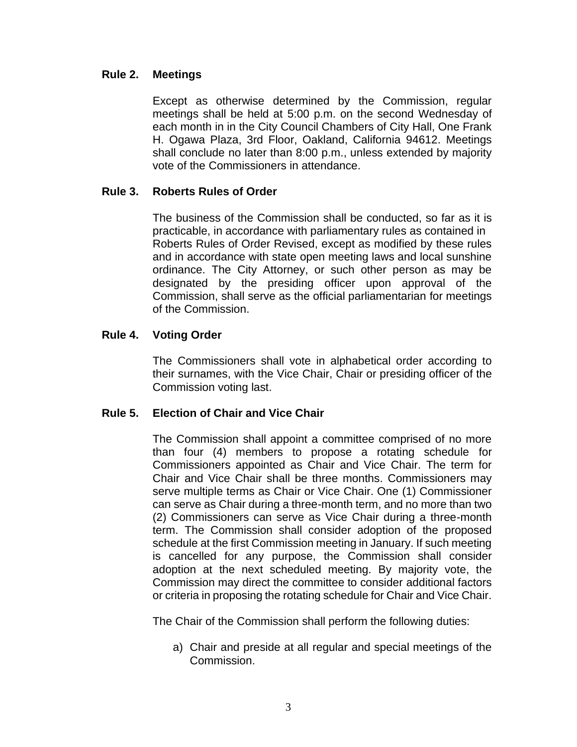# **Rule 2. Meetings**

Except as otherwise determined by the Commission, regular meetings shall be held at 5:00 p.m. on the second Wednesday of each month in in the City Council Chambers of City Hall, One Frank H. Ogawa Plaza, 3rd Floor, Oakland, California 94612. Meetings shall conclude no later than 8:00 p.m., unless extended by majority vote of the Commissioners in attendance.

## **Rule 3. Roberts Rules of Order**

The business of the Commission shall be conducted, so far as it is practicable, in accordance with parliamentary rules as contained in Roberts Rules of Order Revised, except as modified by these rules and in accordance with state open meeting laws and local sunshine ordinance. The City Attorney, or such other person as may be designated by the presiding officer upon approval of the Commission, shall serve as the official parliamentarian for meetings of the Commission.

## **Rule 4. Voting Order**

The Commissioners shall vote in alphabetical order according to their surnames, with the Vice Chair, Chair or presiding officer of the Commission voting last.

## **Rule 5. Election of Chair and Vice Chair**

The Commission shall appoint a committee comprised of no more than four (4) members to propose a rotating schedule for Commissioners appointed as Chair and Vice Chair. The term for Chair and Vice Chair shall be three months. Commissioners may serve multiple terms as Chair or Vice Chair. One (1) Commissioner can serve as Chair during a three-month term, and no more than two (2) Commissioners can serve as Vice Chair during a three-month term. The Commission shall consider adoption of the proposed schedule at the first Commission meeting in January. If such meeting is cancelled for any purpose, the Commission shall consider adoption at the next scheduled meeting. By majority vote, the Commission may direct the committee to consider additional factors or criteria in proposing the rotating schedule for Chair and Vice Chair.

The Chair of the Commission shall perform the following duties:

a) Chair and preside at all regular and special meetings of the Commission.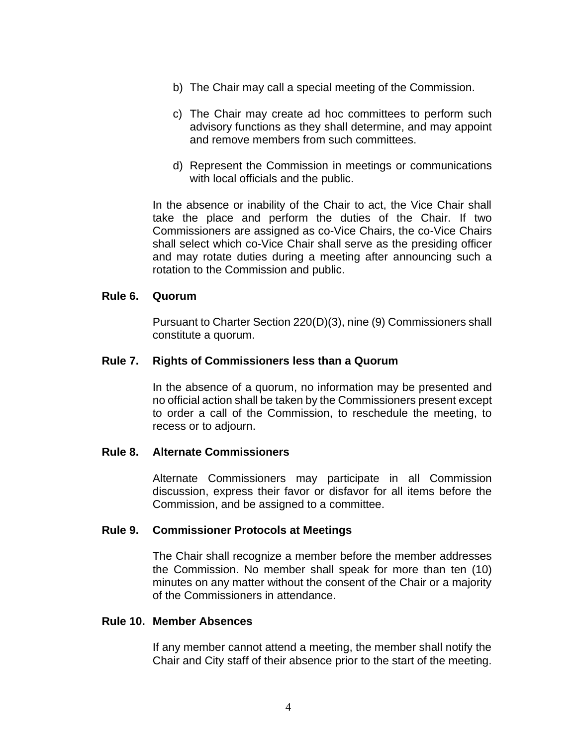- b) The Chair may call a special meeting of the Commission.
- c) The Chair may create ad hoc committees to perform such advisory functions as they shall determine, and may appoint and remove members from such committees.
- d) Represent the Commission in meetings or communications with local officials and the public.

In the absence or inability of the Chair to act, the Vice Chair shall take the place and perform the duties of the Chair. If two Commissioners are assigned as co-Vice Chairs, the co-Vice Chairs shall select which co-Vice Chair shall serve as the presiding officer and may rotate duties during a meeting after announcing such a rotation to the Commission and public.

## **Rule 6. Quorum**

Pursuant to Charter Section 220(D)(3), nine (9) Commissioners shall constitute a quorum.

## **Rule 7. Rights of Commissioners less than a Quorum**

In the absence of a quorum, no information may be presented and no official action shall be taken by the Commissioners present except to order a call of the Commission, to reschedule the meeting, to recess or to adjourn.

## **Rule 8. Alternate Commissioners**

Alternate Commissioners may participate in all Commission discussion, express their favor or disfavor for all items before the Commission, and be assigned to a committee.

## **Rule 9. Commissioner Protocols at Meetings**

The Chair shall recognize a member before the member addresses the Commission. No member shall speak for more than ten (10) minutes on any matter without the consent of the Chair or a majority of the Commissioners in attendance.

## **Rule 10. Member Absences**

If any member cannot attend a meeting, the member shall notify the Chair and City staff of their absence prior to the start of the meeting.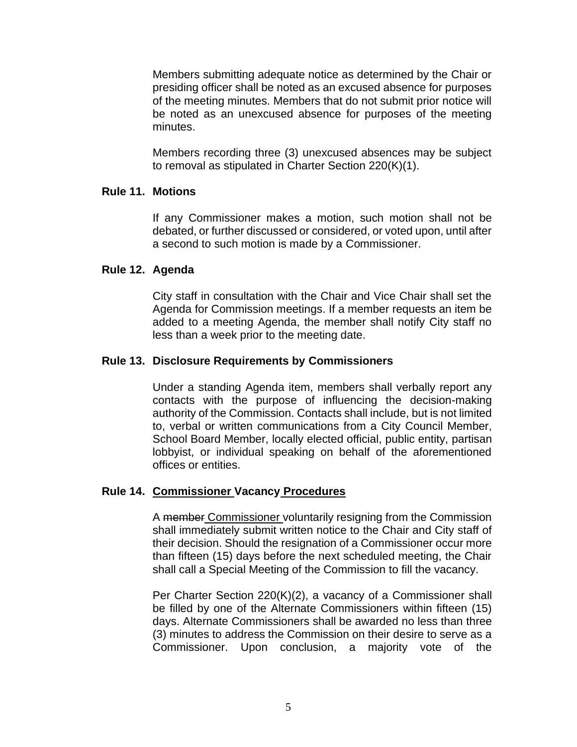Members submitting adequate notice as determined by the Chair or presiding officer shall be noted as an excused absence for purposes of the meeting minutes. Members that do not submit prior notice will be noted as an unexcused absence for purposes of the meeting minutes.

Members recording three (3) unexcused absences may be subject to removal as stipulated in Charter Section 220(K)(1).

## **Rule 11. Motions**

If any Commissioner makes a motion, such motion shall not be debated, or further discussed or considered, or voted upon, until after a second to such motion is made by a Commissioner.

## **Rule 12. Agenda**

City staff in consultation with the Chair and Vice Chair shall set the Agenda for Commission meetings. If a member requests an item be added to a meeting Agenda, the member shall notify City staff no less than a week prior to the meeting date.

# **Rule 13. Disclosure Requirements by Commissioners**

Under a standing Agenda item, members shall verbally report any contacts with the purpose of influencing the decision-making authority of the Commission. Contacts shall include, but is not limited to, verbal or written communications from a City Council Member, School Board Member, locally elected official, public entity, partisan lobbyist, or individual speaking on behalf of the aforementioned offices or entities.

## **Rule 14. Commissioner Vacancy Procedures**

A member Commissioner voluntarily resigning from the Commission shall immediately submit written notice to the Chair and City staff of their decision. Should the resignation of a Commissioner occur more than fifteen (15) days before the next scheduled meeting, the Chair shall call a Special Meeting of the Commission to fill the vacancy.

Per Charter Section 220(K)(2), a vacancy of a Commissioner shall be filled by one of the Alternate Commissioners within fifteen (15) days. Alternate Commissioners shall be awarded no less than three (3) minutes to address the Commission on their desire to serve as a Commissioner. Upon conclusion, a majority vote of the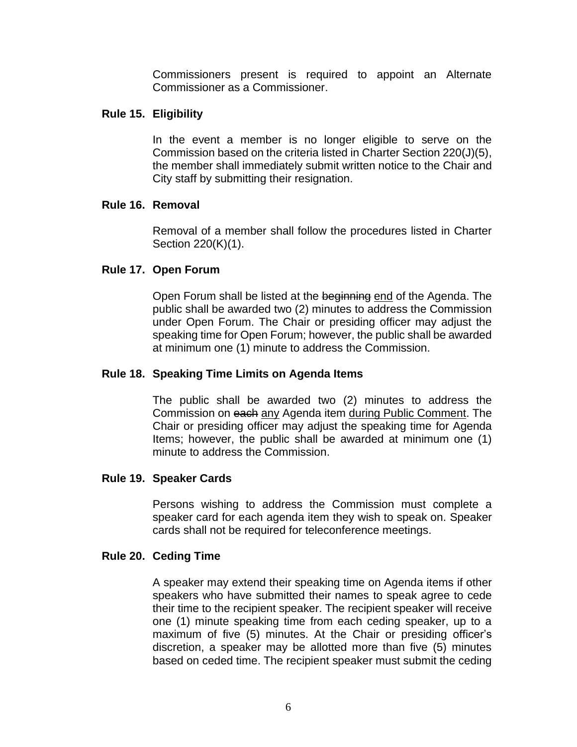Commissioners present is required to appoint an Alternate Commissioner as a Commissioner.

# **Rule 15. Eligibility**

In the event a member is no longer eligible to serve on the Commission based on the criteria listed in Charter Section 220(J)(5), the member shall immediately submit written notice to the Chair and City staff by submitting their resignation.

# **Rule 16. Removal**

Removal of a member shall follow the procedures listed in Charter Section 220(K)(1).

# **Rule 17. Open Forum**

Open Forum shall be listed at the beginning end of the Agenda. The public shall be awarded two (2) minutes to address the Commission under Open Forum. The Chair or presiding officer may adjust the speaking time for Open Forum; however, the public shall be awarded at minimum one (1) minute to address the Commission.

# **Rule 18. Speaking Time Limits on Agenda Items**

The public shall be awarded two (2) minutes to address the Commission on each any Agenda item during Public Comment. The Chair or presiding officer may adjust the speaking time for Agenda Items; however, the public shall be awarded at minimum one (1) minute to address the Commission.

## **Rule 19. Speaker Cards**

Persons wishing to address the Commission must complete a speaker card for each agenda item they wish to speak on. Speaker cards shall not be required for teleconference meetings.

## **Rule 20. Ceding Time**

A speaker may extend their speaking time on Agenda items if other speakers who have submitted their names to speak agree to cede their time to the recipient speaker. The recipient speaker will receive one (1) minute speaking time from each ceding speaker, up to a maximum of five (5) minutes. At the Chair or presiding officer's discretion, a speaker may be allotted more than five (5) minutes based on ceded time. The recipient speaker must submit the ceding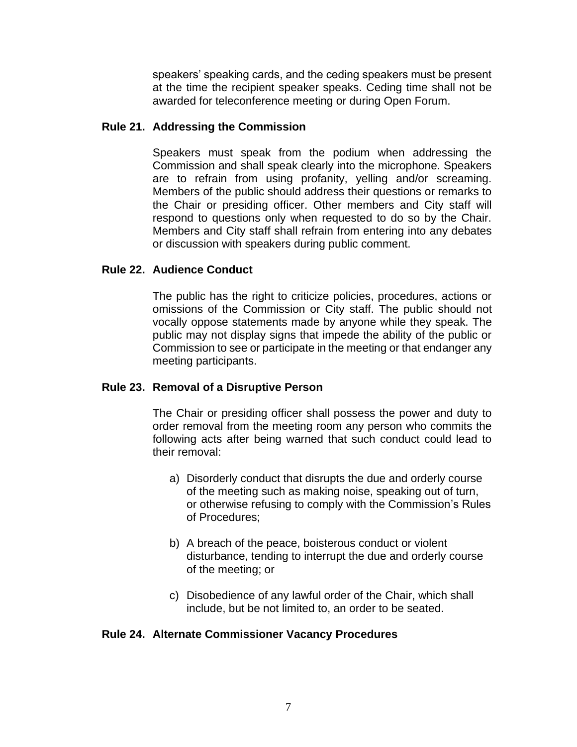speakers' speaking cards, and the ceding speakers must be present at the time the recipient speaker speaks. Ceding time shall not be awarded for teleconference meeting or during Open Forum.

## **Rule 21. Addressing the Commission**

Speakers must speak from the podium when addressing the Commission and shall speak clearly into the microphone. Speakers are to refrain from using profanity, yelling and/or screaming. Members of the public should address their questions or remarks to the Chair or presiding officer. Other members and City staff will respond to questions only when requested to do so by the Chair. Members and City staff shall refrain from entering into any debates or discussion with speakers during public comment.

## **Rule 22. Audience Conduct**

The public has the right to criticize policies, procedures, actions or omissions of the Commission or City staff. The public should not vocally oppose statements made by anyone while they speak. The public may not display signs that impede the ability of the public or Commission to see or participate in the meeting or that endanger any meeting participants.

# **Rule 23. Removal of a Disruptive Person**

The Chair or presiding officer shall possess the power and duty to order removal from the meeting room any person who commits the following acts after being warned that such conduct could lead to their removal:

- a) Disorderly conduct that disrupts the due and orderly course of the meeting such as making noise, speaking out of turn, or otherwise refusing to comply with the Commission's Rules of Procedures;
- b) A breach of the peace, boisterous conduct or violent disturbance, tending to interrupt the due and orderly course of the meeting; or
- c) Disobedience of any lawful order of the Chair, which shall include, but be not limited to, an order to be seated.

## **Rule 24. Alternate Commissioner Vacancy Procedures**